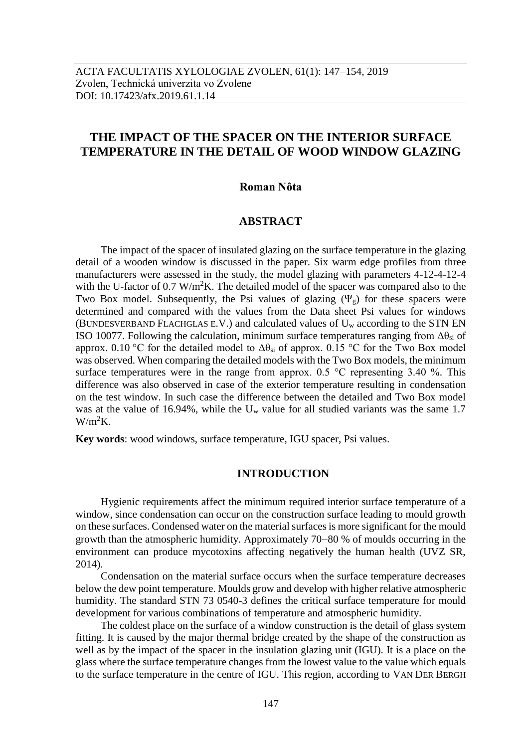# **THE IMPACT OF THE SPACER ON THE INTERIOR SURFACE TEMPERATURE IN THE DETAIL OF WOOD WINDOW GLAZING**

#### **Roman Nôta**

#### **ABSTRACT**

The impact of the spacer of insulated glazing on the surface temperature in the glazing detail of a wooden window is discussed in the paper. Six warm edge profiles from three manufacturers were assessed in the study, the model glazing with parameters 4-12-4-12-4 with the U-factor of 0.7 W/m<sup>2</sup>K. The detailed model of the spacer was compared also to the Two Box model. Subsequently, the Psi values of glazing  $(\Psi_{g})$  for these spacers were determined and compared with the values from the Data sheet Psi values for windows (BUNDESVERBAND FLACHGLAS E.V.) and calculated values of  $U_w$  according to the STN EN ISO 10077. Following the calculation, minimum surface temperatures ranging from  $\Delta\theta_{si}$  of approx. 0.10 °C for the detailed model to  $\Delta\theta_{si}$  of approx. 0.15 °C for the Two Box model was observed. When comparing the detailed models with the Two Box models, the minimum surface temperatures were in the range from approx.  $0.5 \text{ °C}$  representing 3.40 %. This difference was also observed in case of the exterior temperature resulting in condensation on the test window. In such case the difference between the detailed and Two Box model was at the value of 16.94%, while the  $U_w$  value for all studied variants was the same 1.7  $W/m^2K$ .

**Key words**: wood windows, surface temperature, IGU spacer, Psi values.

## **INTRODUCTION**

Hygienic requirements affect the minimum required interior surface temperature of a window, since condensation can occur on the construction surface leading to mould growth on these surfaces. Condensed water on the material surfaces is more significant for the mould growth than the atmospheric humidity. Approximately  $70-80$  % of moulds occurring in the environment can produce mycotoxins affecting negatively the human health (UVZ SR, 2014).

Condensation on the material surface occurs when the surface temperature decreases below the dew point temperature. Moulds grow and develop with higher relative atmospheric humidity. The standard STN 73 0540-3 defines the critical surface temperature for mould development for various combinations of temperature and atmospheric humidity.

The coldest place on the surface of a window construction is the detail of glass system fitting. It is caused by the major thermal bridge created by the shape of the construction as well as by the impact of the spacer in the insulation glazing unit (IGU). It is a place on the glass where the surface temperature changes from the lowest value to the value which equals to the surface temperature in the centre of IGU. This region, according to VAN DER BERGH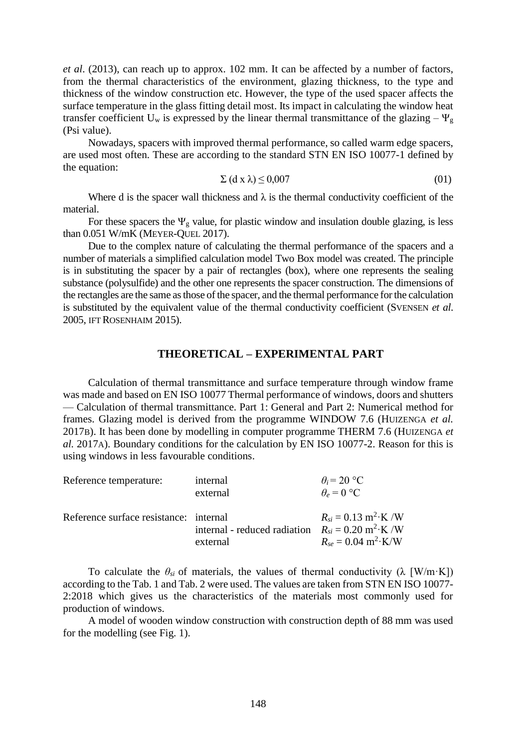*et al*. (2013), can reach up to approx. 102 mm. It can be affected by a number of factors, from the thermal characteristics of the environment, glazing thickness, to the type and thickness of the window construction etc. However, the type of the used spacer affects the surface temperature in the glass fitting detail most. Its impact in calculating the window heat transfer coefficient U<sub>w</sub> is expressed by the linear thermal transmittance of the glazing –  $\Psi_{g}$ (Psi value).

Nowadays, spacers with improved thermal performance, so called warm edge spacers, are used most often. These are according to the standard STN EN ISO 10077-1 defined by the equation:

$$
\Sigma \left( \mathrm{d} \mathbf{x} \lambda \right) \le 0.007 \tag{01}
$$

Where d is the spacer wall thickness and  $\lambda$  is the thermal conductivity coefficient of the material.

For these spacers the  $\Psi_{g}$  value, for plastic window and insulation double glazing, is less than 0.051 W/mK (MEYER-QUEL 2017).

Due to the complex nature of calculating the thermal performance of the spacers and a number of materials a simplified calculation model Two Box model was created. The principle is in substituting the spacer by a pair of rectangles (box), where one represents the sealing substance (polysulfide) and the other one represents the spacer construction. The dimensions of the rectangles are the same as those of the spacer, and the thermal performance for the calculation is substituted by the equivalent value of the thermal conductivity coefficient (SVENSEN *et al*. 2005, IFT ROSENHAIM 2015).

#### **THEORETICAL – EXPERIMENTAL PART**

Calculation of thermal transmittance and surface temperature through window frame was made and based on EN ISO 10077 Thermal performance of windows, doors and shutters — Calculation of thermal transmittance. Part 1: General and Part 2: Numerical method for frames. Glazing model is derived from the programme WINDOW 7.6 (HUIZENGA *et al.* 2017B). It has been done by modelling in computer programme THERM 7.6 (HUIZENGA *et al.* 2017A). Boundary conditions for the calculation by EN ISO 10077-2. Reason for this is using windows in less favourable conditions.

| Reference temperature:                 | internal<br>external                                                               | $\theta_i = 20$ °C<br>$\theta_e = 0$ °C               |
|----------------------------------------|------------------------------------------------------------------------------------|-------------------------------------------------------|
| Reference surface resistance: internal | internal - reduced radiation $R_{si} = 0.20 \text{ m}^2 \cdot \text{K} / \text{W}$ | $R_{si} = 0.13 \text{ m}^2 \cdot \text{K} / \text{W}$ |
|                                        | external                                                                           | $R_{se} = 0.04 \text{ m}^2 \cdot \text{K/W}$          |

To calculate the  $\theta_{si}$  of materials, the values of thermal conductivity ( $\lambda$  [W/m·K]) according to the Tab. 1 and Tab. 2 were used. The values are taken from STN EN ISO 10077- 2:2018 which gives us the characteristics of the materials most commonly used for production of windows.

A model of wooden window construction with construction depth of 88 mm was used for the modelling (see Fig. 1).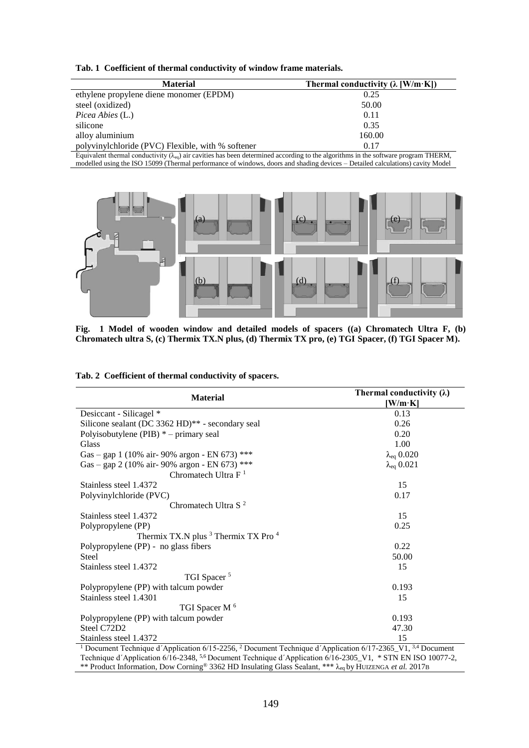|  |  | Tab. 1 Coefficient of thermal conductivity of window frame materials. |  |  |  |
|--|--|-----------------------------------------------------------------------|--|--|--|
|--|--|-----------------------------------------------------------------------|--|--|--|

| <b>Material</b>                                                                                                                                 | Thermal conductivity $(\lambda \text{ [W/m·K]})$ |  |  |  |
|-------------------------------------------------------------------------------------------------------------------------------------------------|--------------------------------------------------|--|--|--|
| ethylene propylene diene monomer (EPDM)                                                                                                         | 0.25                                             |  |  |  |
| steel (oxidized)                                                                                                                                | 50.00                                            |  |  |  |
| <i>Picea Abies</i> (L.)                                                                                                                         | 0.11                                             |  |  |  |
| silicone                                                                                                                                        | 0.35                                             |  |  |  |
| alloy aluminium                                                                                                                                 | 160.00                                           |  |  |  |
| polyvinylchloride (PVC) Flexible, with % softener                                                                                               | 0.17                                             |  |  |  |
| Equivalent thermal conductivity $(\lambda_{\gamma})$ air cavities has been determined according to the algorithms in the software program THERM |                                                  |  |  |  |

Equivalent thermal conductivity  $(\lambda_{eq})$  air cavities has been determined according to the algorithms in the software program THERM, modelled using the ISO 15099 (Thermal performance of windows, doors and shading devices – Detailed calculations) cavity Model



**Fig. 1 Model of wooden window and detailed models of spacers ((a) Chromatech Ultra F, (b) Chromatech ultra S, (c) Thermix TX.N plus, (d) Thermix TX pro, (e) TGI Spacer, (f) TGI Spacer M).**

| <b>Material</b>                                                                                                                              | Thermal conductivity $(\lambda)$<br>[W/m·K] |
|----------------------------------------------------------------------------------------------------------------------------------------------|---------------------------------------------|
| Desiccant - Silicagel *                                                                                                                      | 0.13                                        |
| Silicone sealant (DC 3362 HD)** - secondary seal                                                                                             | 0.26                                        |
| Polyisobutylene (PIB) $*$ – primary seal                                                                                                     | 0.20                                        |
| Glass                                                                                                                                        | 1.00                                        |
| Gas - gap 1 (10% air- 90% argon - EN 673) ***                                                                                                | $\lambda_{eq}$ 0.020                        |
| Gas - gap 2 (10% air- 90% argon - EN 673) ***                                                                                                | $\lambda_{eq}$ 0.021                        |
| Chromatech Ultra $F1$                                                                                                                        |                                             |
| Stainless steel 1.4372                                                                                                                       | 15                                          |
| Polyvinylchloride (PVC)                                                                                                                      | 0.17                                        |
| Chromatech Ultra S <sup>2</sup>                                                                                                              |                                             |
| Stainless steel 1.4372                                                                                                                       | 15                                          |
| Polypropylene (PP)                                                                                                                           | 0.25                                        |
| Thermix TX.N plus <sup>3</sup> Thermix TX Pro <sup>4</sup>                                                                                   |                                             |
| Polypropylene (PP) - no glass fibers                                                                                                         | 0.22                                        |
| <b>Steel</b>                                                                                                                                 | 50.00                                       |
| Stainless steel 1.4372                                                                                                                       | 15                                          |
| TGI Spacer <sup>5</sup>                                                                                                                      |                                             |
| Polypropylene (PP) with talcum powder                                                                                                        | 0.193                                       |
| Stainless steel 1.4301                                                                                                                       | 15                                          |
| TGI Spacer M <sup>6</sup>                                                                                                                    |                                             |
| Polypropylene (PP) with talcum powder                                                                                                        | 0.193                                       |
| Steel C72D2                                                                                                                                  | 47.30                                       |
| Stainless steel 1.4372                                                                                                                       | 15                                          |
| <sup>1</sup> Document Technique d'Application 6/15-2256, <sup>2</sup> Document Technique d'Application 6/17-2365_V1, <sup>3,4</sup> Document |                                             |

Technique d'Application 6/16-2348, <sup>5,6</sup> Document Technique d'Application 6/16-2305\_V1, \* STN EN ISO 10077-2, \*\* Product Information, Dow Corning® 3362 HD Insulating Glass Sealant, \*\*\* λeq by HUIZENGA *et al.* 2017B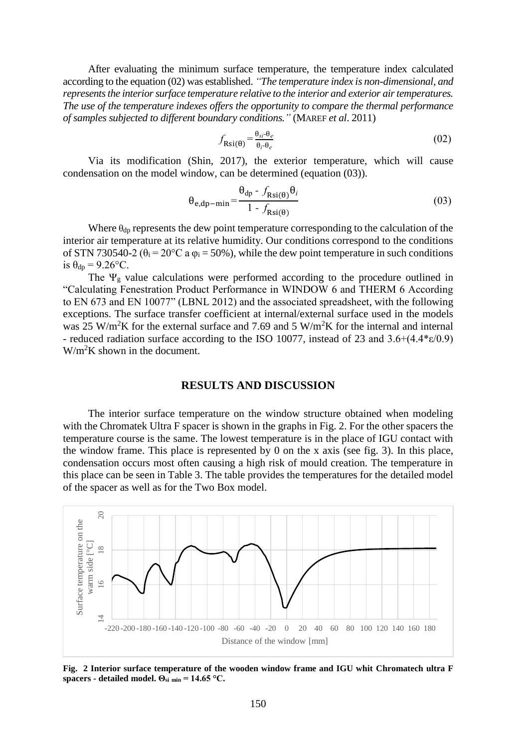After evaluating the minimum surface temperature, the temperature index calculated according to the equation (02) was established. *"The temperature index is non-dimensional, and represents the interior surface temperature relative to the interior and exterior air temperatures. The use of the temperature indexes offers the opportunity to compare the thermal performance of samples subjected to different boundary conditions."* (MAREF *et al*. 2011)

$$
f_{\text{Rsi}(\theta)} = \frac{\theta_{si} - \theta_e}{\theta_i - \theta_e} \tag{02}
$$

Via its modification (Shin, 2017), the exterior temperature, which will cause condensation on the model window, can be determined (equation (03)).

$$
\theta_{e,dp-min} = \frac{\theta_{dp} - f_{Rsi(\theta)} \theta_i}{1 - f_{Rsi(\theta)}}
$$
(03)

Where  $\theta_{dp}$  represents the dew point temperature corresponding to the calculation of the interior air temperature at its relative humidity. Our conditions correspond to the conditions of STN 730540-2 ( $\theta_i = 20$ °C a  $\varphi_i = 50$ %), while the dew point temperature in such conditions is  $\theta_{dp} = 9.26$ °C.

The  $\Psi_g$  value calculations were performed according to the procedure outlined in "Calculating Fenestration Product Performance in WINDOW 6 and THERM 6 According to EN 673 and EN 10077" (LBNL 2012) and the associated spreadsheet, with the following exceptions. The surface transfer coefficient at internal/external surface used in the models was  $25 \text{ W/m}^2\text{K}$  for the external surface and 7.69 and 5 W/m<sup>2</sup>K for the internal and internal - reduced radiation surface according to the ISO 10077, instead of 23 and 3.6+(4.4\*ε/0.9)  $W/m<sup>2</sup>K$  shown in the document.

#### **RESULTS AND DISCUSSION**

The interior surface temperature on the window structure obtained when modeling with the Chromatek Ultra F spacer is shown in the graphs in Fig. 2. For the other spacers the temperature course is the same. The lowest temperature is in the place of IGU contact with the window frame. This place is represented by 0 on the x axis (see fig. 3). In this place, condensation occurs most often causing a high risk of mould creation. The temperature in this place can be seen in Table 3. The table provides the temperatures for the detailed model of the spacer as well as for the Two Box model.



**Fig. 2 Interior surface temperature of the wooden window frame and IGU whit Chromatech ultra F**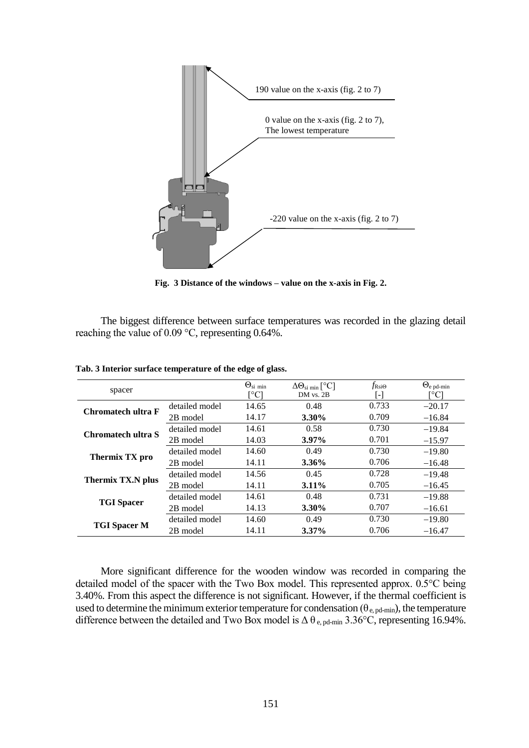

**Fig. 3 Distance of the windows – value on the x-axis in Fig. 2.**

The biggest difference between surface temperatures was recorded in the glazing detail reaching the value of 0.09 °C, representing 0.64%.

| spacer              |                | $\Theta_{\text{si min}}$ | $\Delta\Theta_{\text{si min}}$ [ <sup>o</sup> C] | $f_{\text{Rsi}\Theta}$ | $\Theta_{\rm e\,pd-min}$ |
|---------------------|----------------|--------------------------|--------------------------------------------------|------------------------|--------------------------|
|                     |                | [°C]                     | DM vs. 2B                                        | $\mathsf{L}$           | [°C]                     |
| Chromatech ultra F  | detailed model | 14.65                    | 0.48                                             | 0.733                  | $-20.17$                 |
|                     | 2B model       | 14.17                    | 3.30%                                            | 0.709                  | $-16.84$                 |
| Chromatech ultra S  | detailed model | 14.61                    | 0.58                                             | 0.730                  | $-19.84$                 |
|                     | 2B model       | 14.03                    | $3.97\%$                                         | 0.701                  | $-15.97$                 |
| Thermix TX pro      | detailed model | 14.60                    | 0.49                                             | 0.730                  | $-19.80$                 |
|                     | 2B model       | 14.11                    | $3.36\%$                                         | 0.706                  | $-16.48$                 |
| Thermix TX.N plus   | detailed model | 14.56                    | 0.45                                             | 0.728                  | $-19.48$                 |
|                     | 2B model       | 14.11                    | $3.11\%$                                         | 0.705                  | $-16.45$                 |
| <b>TGI</b> Spacer   | detailed model | 14.61                    | 0.48                                             | 0.731                  | $-19.88$                 |
|                     | 2B model       | 14.13                    | 3.30%                                            | 0.707                  | $-16.61$                 |
| <b>TGI Spacer M</b> | detailed model | 14.60                    | 0.49                                             | 0.730                  | $-19.80$                 |
|                     | 2B model       | 14.11                    | $3.37\%$                                         | 0.706                  | $-16.47$                 |

**Tab. 3 Interior surface temperature of the edge of glass.**

More significant difference for the wooden window was recorded in comparing the detailed model of the spacer with the Two Box model. This represented approx. 0.5°C being 3.40%. From this aspect the difference is not significant. However, if the thermal coefficient is used to determine the minimum exterior temperature for condensation ( $\theta_{e, pd-min}$ ), the temperature difference between the detailed and Two Box model is  $\Delta \theta_{e, pd-min}$  3.36°C, representing 16.94%.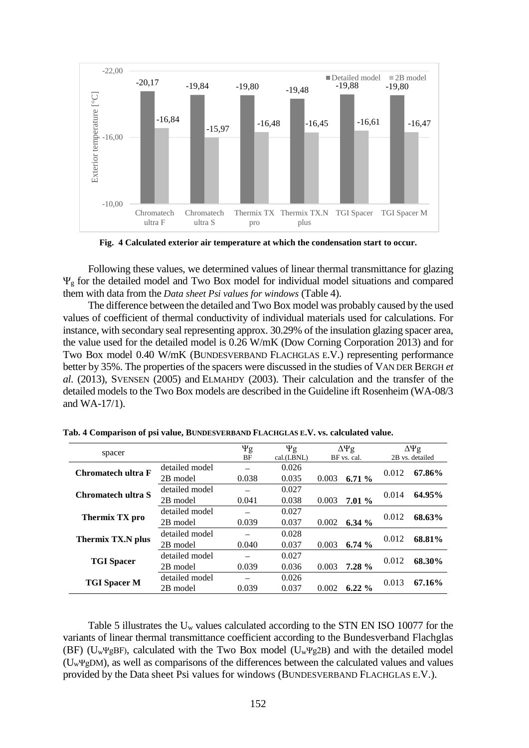

**Fig. 4 Calculated exterior air temperature at which the condensation start to occur.**

Following these values, we determined values of linear thermal transmittance for glazing Ψ<sup>g</sup> for the detailed model and Two Box model for individual model situations and compared them with data from the *Data sheet Psi values for windows* (Table 4).

The difference between the detailed and Two Box model was probably caused by the used values of coefficient of thermal conductivity of individual materials used for calculations. For instance, with secondary seal representing approx. 30.29% of the insulation glazing spacer area, the value used for the detailed model is 0.26 W/mK (Dow Corning Corporation 2013) and for Two Box model 0.40 W/mK (BUNDESVERBAND FLACHGLAS E.V.) representing performance better by 35%. The properties of the spacers were discussed in the studies of VAN DER BERGH *et al*. (2013), SVENSEN (2005) and ELMAHDY (2003). Their calculation and the transfer of the detailed models to the Two Box models are described in the Guideline ift Rosenheim (WA-08/3 and WA-17/1).

| spacer                    |                | $\Psi$ g  | $\Psi$ g   | $\Delta\Psi$ g |          | $\Delta\Psi$ g  |        |
|---------------------------|----------------|-----------|------------|----------------|----------|-----------------|--------|
|                           |                | <b>BF</b> | cal.(LBNL) | BF vs. cal.    |          | 2B vs. detailed |        |
| <b>Chromatech ultra F</b> | detailed model |           | 0.026      |                |          | 0.012           | 67.86% |
|                           | 2B model       | 0.038     | 0.035      | 0.003          | 6.71%    |                 |        |
| Chromatech ultra S        | detailed model |           | 0.027      |                |          | 0.014           | 64.95% |
|                           | 2B model       | 0.041     | 0.038      | 0.003          | 7.01%    |                 |        |
| Thermix TX pro            | detailed model |           | 0.027      |                |          | 0.012           | 68.63% |
|                           | 2B model       | 0.039     | 0.037      | 0.002          | 6.34 $%$ |                 |        |
| <b>Thermix TX.N plus</b>  | detailed model |           | 0.028      |                |          | 0.012           | 68.81% |
|                           | 2B model       | 0.040     | 0.037      | 0.003          | 6.74%    |                 |        |
| <b>TGI Spacer</b>         | detailed model |           | 0.027      |                |          | 0.012           | 68.30% |
|                           | 2B model       | 0.039     | 0.036      | 0.003          | 7.28%    |                 |        |
| <b>TGI Spacer M</b>       | detailed model |           | 0.026      |                |          | 0.013           | 67.16% |
|                           | 2B model       | 0.039     | 0.037      | 0.002          | $6.22\%$ |                 |        |

**Tab. 4 Comparison of psi value, BUNDESVERBAND FLACHGLAS E.V. vs. calculated value.**

Table 5 illustrates the U<sub>w</sub> values calculated according to the STN EN ISO 10077 for the variants of linear thermal transmittance coefficient according to the Bundesverband Flachglas (BF) ( $U_w \Psi gBF$ ), calculated with the Two Box model ( $U_w \Psi g2B$ ) and with the detailed model (UwΨgDM), as well as comparisons of the differences between the calculated values and values provided by the Data sheet Psi values for windows (BUNDESVERBAND FLACHGLAS E.V.).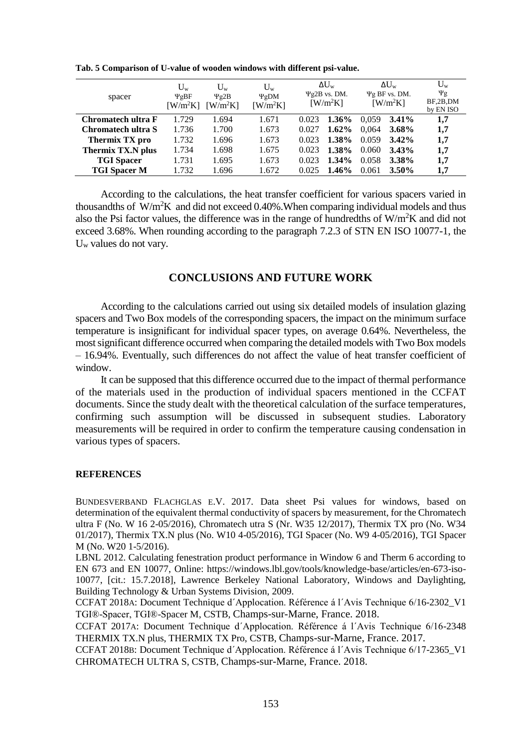| spacer              | $U_{w}$<br>$\Psi$ gBF<br>$\left[\text{W/m}^2\text{K}\right]$ | $U_{w}$<br>$\Psi$ g2B<br>$\left[\text{W/m}^2\text{K}\right]$ | $U_{w}$<br>$\Psi$ gDM<br>$\left[\text{W/m}^2\text{K}\right]$ |       | $\Delta U_{\rm w}$<br>$\Psi$ g2B vs. DM.<br>$\left[\text{W/m}^2\text{K}\right]$ |       | $\Delta U_{\rm w}$<br>$\Psi$ g BF vs. DM.<br>$\left[\text{W/m}^2\text{K}\right]$ | $U_w$<br>$\Psi$ g<br>BF,2B,DM<br>by EN ISO |
|---------------------|--------------------------------------------------------------|--------------------------------------------------------------|--------------------------------------------------------------|-------|---------------------------------------------------------------------------------|-------|----------------------------------------------------------------------------------|--------------------------------------------|
| Chromatech ultra F  | 1.729                                                        | 1.694                                                        | 1.671                                                        | 0.023 | $1.36\%$                                                                        | 0.059 | $3.41\%$                                                                         | 1,7                                        |
| Chromatech ultra S  | 1.736                                                        | 1.700                                                        | 1.673                                                        | 0.027 | 1.62%                                                                           | 0.064 | $3.68\%$                                                                         | 1,7                                        |
| Thermix TX pro      | 1.732                                                        | 1.696                                                        | 1.673                                                        | 0.023 | 1.38%                                                                           | 0.059 | $3.42\%$                                                                         | 1,7                                        |
| Thermix TX.N plus   | 1.734                                                        | 1.698                                                        | 1.675                                                        | 0.023 | 1.38%                                                                           | 0.060 | $3.43\%$                                                                         | 1,7                                        |
| <b>TGI</b> Spacer   | 1.731                                                        | 1.695                                                        | 1.673                                                        | 0.023 | 1.34%                                                                           | 0.058 | 3.38%                                                                            | 1,7                                        |
| <b>TGI Spacer M</b> | 1.732                                                        | 1.696                                                        | 1.672                                                        | 0.025 | 1.46%                                                                           | 0.061 | $3.50\%$                                                                         | 1,7                                        |

**Tab. 5 Comparison of U-value of wooden windows with different psi-value.**

According to the calculations, the heat transfer coefficient for various spacers varied in thousandths of  $W/m^2K$  and did not exceed 0.40%. When comparing individual models and thus also the Psi factor values, the difference was in the range of hundredths of  $W/m^2K$  and did not exceed 3.68%. When rounding according to the paragraph 7.2.3 of STN EN ISO 10077-1, the U<sup>w</sup> values do not vary.

# **CONCLUSIONS AND FUTURE WORK**

According to the calculations carried out using six detailed models of insulation glazing spacers and Two Box models of the corresponding spacers, the impact on the minimum surface temperature is insignificant for individual spacer types, on average 0.64%. Nevertheless, the most significant difference occurred when comparing the detailed models with Two Box models – 16.94%. Eventually, such differences do not affect the value of heat transfer coefficient of window.

It can be supposed that this difference occurred due to the impact of thermal performance of the materials used in the production of individual spacers mentioned in the CCFAT documents. Since the study dealt with the theoretical calculation of the surface temperatures, confirming such assumption will be discussed in subsequent studies. Laboratory measurements will be required in order to confirm the temperature causing condensation in various types of spacers.

#### **REFERENCES**

BUNDESVERBAND FLACHGLAS E.V. 2017. Data sheet Psi values for windows, based on determination of the equivalent thermal conductivity of spacers by measurement, for the Chromatech ultra F (No. W 16 2-05/2016), Chromatech utra S (Nr. W35 12/2017), Thermix TX pro (No. W34 01/2017), Thermix TX.N plus (No. W10 4-05/2016), TGI Spacer (No. W9 4-05/2016), TGI Spacer M (No. W20 1-5/2016).

LBNL 2012. Calculating fenestration product performance in Window 6 and Therm 6 according to EN 673 and EN 10077, Online: https://windows.lbl.gov/tools/knowledge-base/articles/en-673-iso-10077, [cit.: 15.7.2018], Lawrence Berkeley National Laboratory, Windows and Daylighting, Building Technology & Urban Systems Division, 2009.

CCFAT 2018A: Document Technique d´Applocation. Référence á l´Avis Technique 6/16-2302\_V1 TGI®-Spacer, TGI®-Spacer M, CSTB, Champs-sur-Marne, France. 2018.

CCFAT 2017A: Document Technique d´Applocation. Référence á l´Avis Technique 6/16-2348 THERMIX TX.N plus, THERMIX TX Pro, CSTB, Champs-sur-Marne, France. 2017.

CCFAT 2018B: Document Technique d´Applocation. Référence á l´Avis Technique 6/17-2365\_V1 CHROMATECH ULTRA S, CSTB, Champs-sur-Marne, France. 2018.